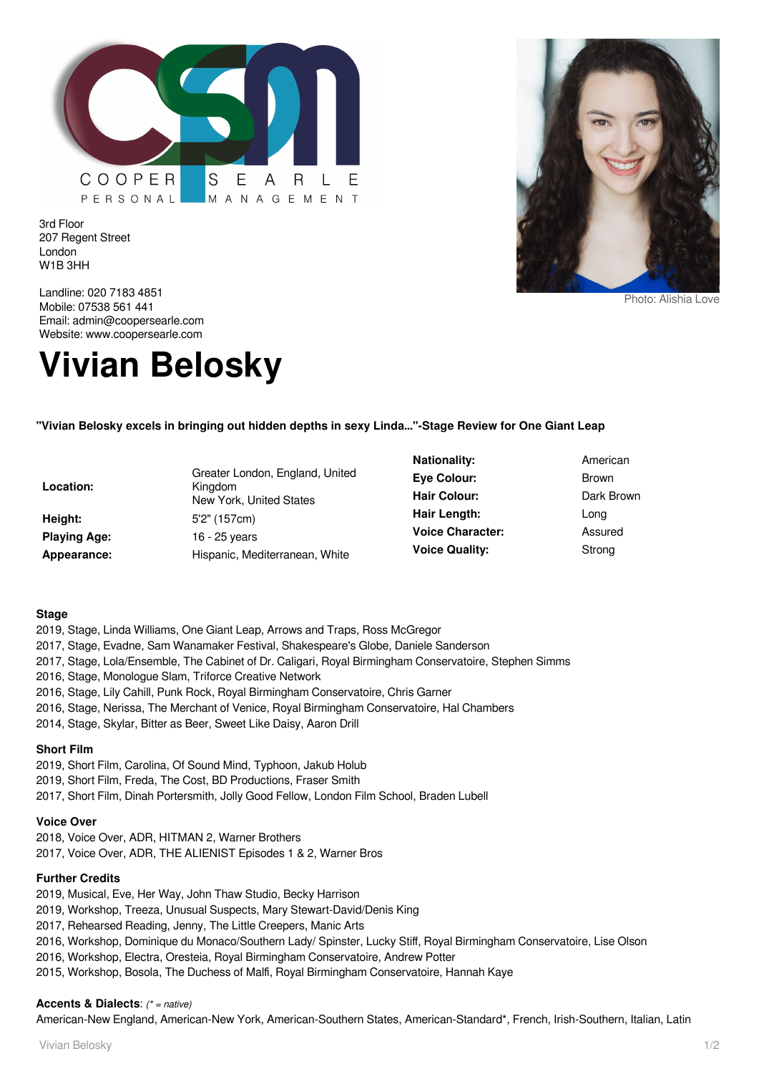

3rd Floor 207 Regent Street London W1B 3HH



Photo: Alishia Love

Landline: 020 7183 4851 Mobile: 07538 561 441 Email: admin@coopersearle.com Website: www.coopersearle.com

# **Vivian Belosky**

## **"Vivian Belosky excels in bringing out hidden depths in sexy Linda..."-Stage Review for One Giant Leap**

| Location:           | Greater London, England, United<br>Kingdom<br>New York, United States |
|---------------------|-----------------------------------------------------------------------|
| Height:             | 5'2" (157cm)                                                          |
| <b>Playing Age:</b> | 16 - 25 years                                                         |
| Appearance:         | Hispanic. Mediterranean. White                                        |

**Nationality:** American **Eye Colour:** Brown Hair Colour: Dark Brown **Hair Length:** Long **Voice Character:** Assured **Voice Quality:** Strong

#### **Stage**

- 2019, Stage, Linda Williams, One Giant Leap, Arrows and Traps, Ross McGregor
- 2017, Stage, Evadne, Sam Wanamaker Festival, Shakespeare's Globe, Daniele Sanderson
- 2017, Stage, Lola/Ensemble, The Cabinet of Dr. Caligari, Royal Birmingham Conservatoire, Stephen Simms
- 2016, Stage, Monologue Slam, Triforce Creative Network
- 2016, Stage, Lily Cahill, Punk Rock, Royal Birmingham Conservatoire, Chris Garner
- 2016, Stage, Nerissa, The Merchant of Venice, Royal Birmingham Conservatoire, Hal Chambers
- 2014, Stage, Skylar, Bitter as Beer, Sweet Like Daisy, Aaron Drill

## **Short Film**

- 2019, Short Film, Carolina, Of Sound Mind, Typhoon, Jakub Holub
- 2019, Short Film, Freda, The Cost, BD Productions, Fraser Smith
- 2017, Short Film, Dinah Portersmith, Jolly Good Fellow, London Film School, Braden Lubell

#### **Voice Over**

2018, Voice Over, ADR, HITMAN 2, Warner Brothers 2017, Voice Over, ADR, THE ALIENIST Episodes 1 & 2, Warner Bros

#### **Further Credits**

- 2019, Musical, Eve, Her Way, John Thaw Studio, Becky Harrison
- 2019, Workshop, Treeza, Unusual Suspects, Mary Stewart-David/Denis King
- 2017, Rehearsed Reading, Jenny, The Little Creepers, Manic Arts
- 2016, Workshop, Dominique du Monaco/Southern Lady/ Spinster, Lucky Stiff, Royal Birmingham Conservatoire, Lise Olson
- 2016, Workshop, Electra, Oresteia, Royal Birmingham Conservatoire, Andrew Potter
- 2015, Workshop, Bosola, The Duchess of Malfi, Royal Birmingham Conservatoire, Hannah Kaye

#### **Accents & Dialects**: (\* = native)

American-New England, American-New York, American-Southern States, American-Standard\*, French, Irish-Southern, Italian, Latin